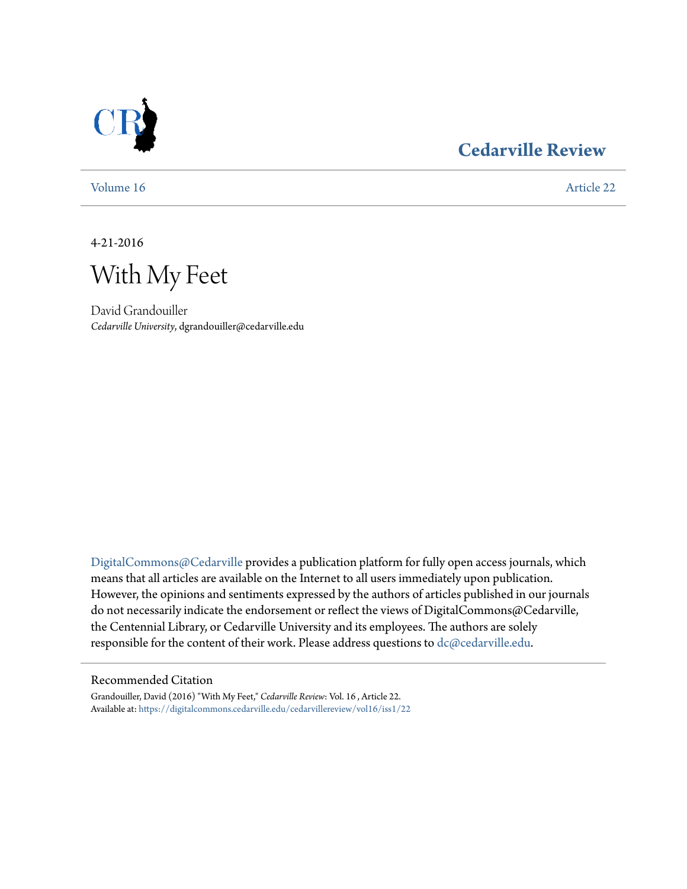

### **[Cedarville Review](https://digitalcommons.cedarville.edu/cedarvillereview?utm_source=digitalcommons.cedarville.edu%2Fcedarvillereview%2Fvol16%2Fiss1%2F22&utm_medium=PDF&utm_campaign=PDFCoverPages)**

[Volume 16](https://digitalcommons.cedarville.edu/cedarvillereview/vol16?utm_source=digitalcommons.cedarville.edu%2Fcedarvillereview%2Fvol16%2Fiss1%2F22&utm_medium=PDF&utm_campaign=PDFCoverPages) [Article 22](https://digitalcommons.cedarville.edu/cedarvillereview/vol16/iss1/22?utm_source=digitalcommons.cedarville.edu%2Fcedarvillereview%2Fvol16%2Fiss1%2F22&utm_medium=PDF&utm_campaign=PDFCoverPages)

4-21-2016

With My Feet

David Grandouiller *Cedarville University*, dgrandouiller@cedarville.edu

[DigitalCommons@Cedarville](http://digitalcommons.cedarville.edu) provides a publication platform for fully open access journals, which means that all articles are available on the Internet to all users immediately upon publication. However, the opinions and sentiments expressed by the authors of articles published in our journals do not necessarily indicate the endorsement or reflect the views of DigitalCommons@Cedarville, the Centennial Library, or Cedarville University and its employees. The authors are solely responsible for the content of their work. Please address questions to [dc@cedarville.edu](mailto:dc@cedarville.edu).

#### Recommended Citation

Grandouiller, David (2016) "With My Feet," *Cedarville Review*: Vol. 16 , Article 22. Available at: [https://digitalcommons.cedarville.edu/cedarvillereview/vol16/iss1/22](https://digitalcommons.cedarville.edu/cedarvillereview/vol16/iss1/22?utm_source=digitalcommons.cedarville.edu%2Fcedarvillereview%2Fvol16%2Fiss1%2F22&utm_medium=PDF&utm_campaign=PDFCoverPages)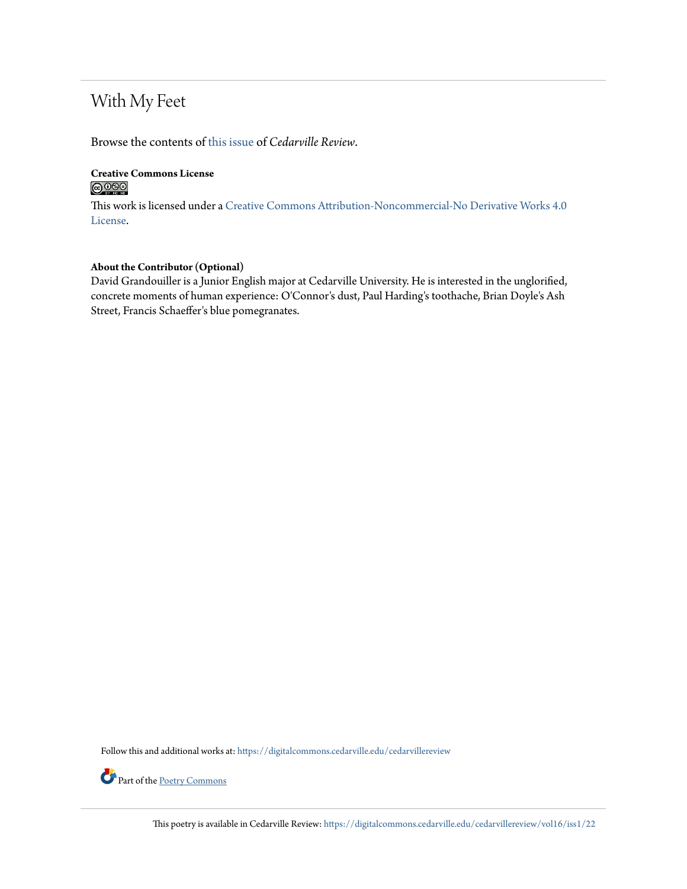## With My Feet

Browse the contents of [this issue](https://digitalcommons.cedarville.edu/cedarvillereview/vol16/iss1) of *Cedarville Review*.

#### **Creative Commons License**  $\bigcirc$   $\circ$

This work is licensed under a [Creative Commons Attribution-Noncommercial-No Derivative Works 4.0](http://creativecommons.org/licenses/by-nc-nd/4.0/) [License.](http://creativecommons.org/licenses/by-nc-nd/4.0/)

#### **About the Contributor (Optional)**

David Grandouiller is a Junior English major at Cedarville University. He is interested in the unglorified, concrete moments of human experience: O'Connor's dust, Paul Harding's toothache, Brian Doyle's Ash Street, Francis Schaeffer's blue pomegranates.

Follow this and additional works at: [https://digitalcommons.cedarville.edu/cedarvillereview](https://digitalcommons.cedarville.edu/cedarvillereview?utm_source=digitalcommons.cedarville.edu%2Fcedarvillereview%2Fvol16%2Fiss1%2F22&utm_medium=PDF&utm_campaign=PDFCoverPages)



Part of the <u>[Poetry Commons](http://network.bepress.com/hgg/discipline/1153?utm_source=digitalcommons.cedarville.edu%2Fcedarvillereview%2Fvol16%2Fiss1%2F22&utm_medium=PDF&utm_campaign=PDFCoverPages)</u>

This poetry is available in Cedarville Review: [https://digitalcommons.cedarville.edu/cedarvillereview/vol16/iss1/22](https://digitalcommons.cedarville.edu/cedarvillereview/vol16/iss1/22?utm_source=digitalcommons.cedarville.edu%2Fcedarvillereview%2Fvol16%2Fiss1%2F22&utm_medium=PDF&utm_campaign=PDFCoverPages)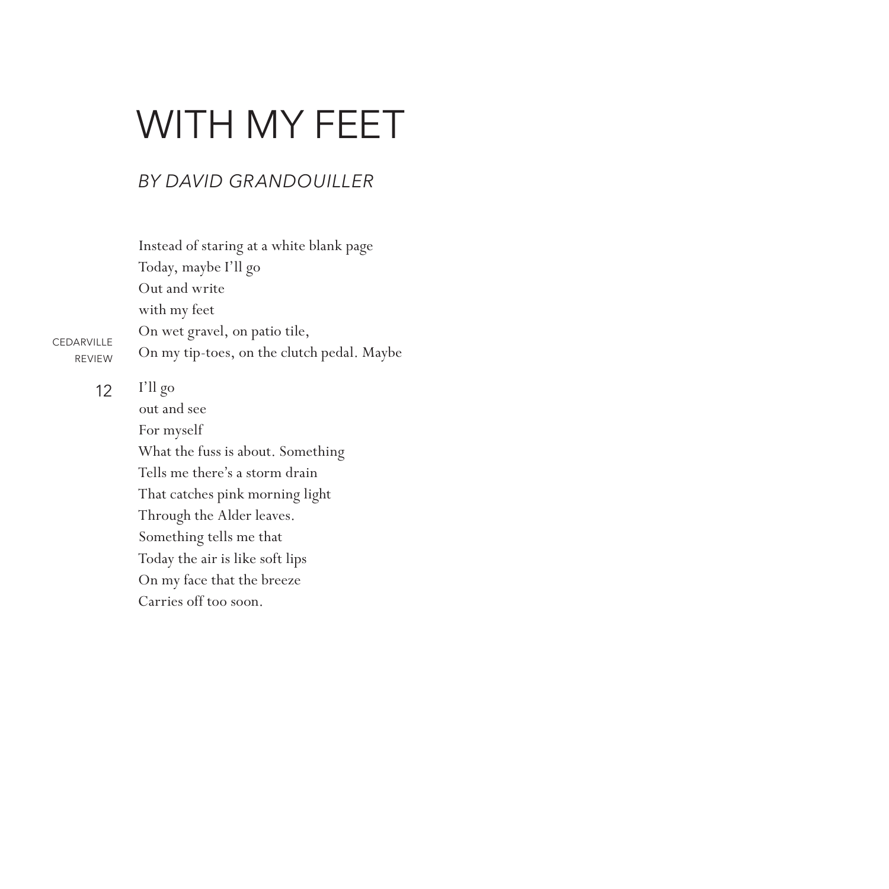# WITH MY FEET

#### *By David Grandouiller*

Instead of staring at a white blank page Today, maybe I'll go Out and write with my feet On wet gravel, on patio tile, On my tip-toes, on the clutch pedal. Maybe

12

CEDARVILLE REVIEW

> I'll go out and see For myself What the fuss is about. Something Tells me there's a storm drain That catches pink morning light Through the Alder leaves. Something tells me that Today the air is like soft lips On my face that the breeze Carries off too soon.